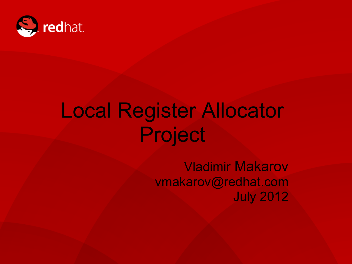

# Local Register Allocator Project

Vladimir Makarov vmakarov@redhat.com July 2012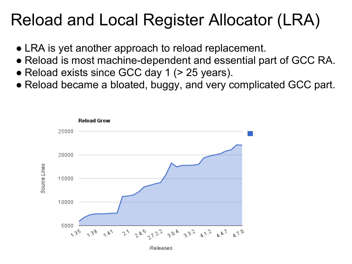#### Reload and Local Register Allocator (LRA)

- LRA is yet another approach to reload replacement.
- Reload is most machine-dependent and essential part of GCC RA.
- Reload exists since GCC day 1 (> 25 years).
- Reload became a bloated, buggy, and very complicated GCC part.

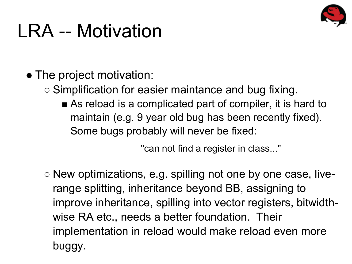

# LRA -- Motivation

- The project motivation:
	- Simplification for easier maintance and bug fixing.
		- As reload is a complicated part of compiler, it is hard to maintain (e.g. 9 year old bug has been recently fixed). Some bugs probably will never be fixed:

"can not find a register in class..."

 $\circ$  New optimizations, e.g. spilling not one by one case, liverange splitting, inheritance beyond BB, assigning to improve inheritance, spilling into vector registers, bitwidthwise RA etc., needs a better foundation. Their implementation in reload would make reload even more buggy.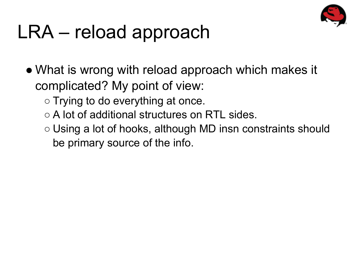

# LRA – reload approach

- What is wrong with reload approach which makes it complicated? My point of view:
	- Trying to do everything at once.
	- A lot of additional structures on RTL sides.
	- Using a lot of hooks, although MD insn constraints should be primary source of the info.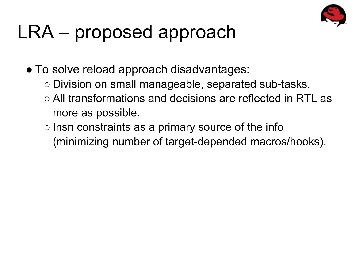

# LRA – proposed approach

• To solve reload approach disadvantages:

- Division on small manageable, separated sub-tasks.
- All transformations and decisions are reflected in RTL as more as possible.
- Insn constraints as a primary source of the info (minimizing number of target-depended macros/hooks).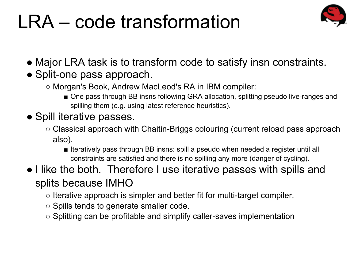# LRA – code transformation



- Major LRA task is to transform code to satisfy insn constraints.
- Split-one pass approach.
	- Morgan's Book, Andrew MacLeod's RA in IBM compiler:
		- One pass through BB insns following GRA allocation, splitting pseudo live-ranges and spilling them (e.g. using latest reference heuristics).

#### • Spill iterative passes.

- Classical approach with Chaitin-Briggs colouring (current reload pass approach also).
	- Iteratively pass through BB insns: spill a pseudo when needed a register until all constraints are satisfied and there is no spilling any more (danger of cycling).
- I like the both. Therefore I use iterative passes with spills and splits because IMHO
	- Iterative approach is simpler and better fit for multi-target compiler.
	- Spills tends to generate smaller code.
	- Splitting can be profitable and simplify caller-saves implementation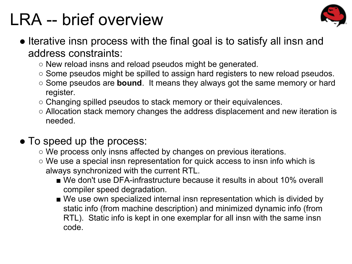#### LRA -- brief overview



- Iterative insn process with the final goal is to satisfy all insn and address constraints:
	- New reload insns and reload pseudos might be generated.
	- Some pseudos might be spilled to assign hard registers to new reload pseudos.
	- Some pseudos are **bound**. It means they always got the same memory or hard register.
	- $\circ$  Changing spilled pseudos to stack memory or their equivalences.
	- Allocation stack memory changes the address displacement and new iteration is needed.

#### • To speed up the process:

- We process only insns affected by changes on previous iterations.
- We use a special insn representation for quick access to insn info which is always synchronized with the current RTL.
	- We don't use DFA-infrastructure because it results in about 10% overall compiler speed degradation.
	- We use own specialized internal insn representation which is divided by static info (from machine description) and minimized dynamic info (from RTL). Static info is kept in one exemplar for all insn with the same insn code.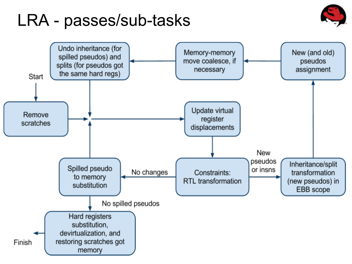#### LRA - passes/sub-tasks



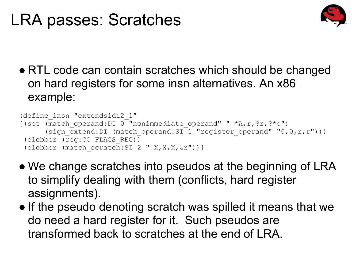#### LRA passes: Scratches



● RTL code can contain scratches which should be changed on hard registers for some insn alternatives. An x86 example:

```
 (define_insn "extendsidi2_1"
[(set (\overline{m}atch operand:DI 0 "nonimmediate operand" "=*A,r,?r,?*o")
      (sign extend:DI (match operand:SI 1 "register operand" "0,0,r,r")))
  (clobber (reg:CC FLAGS_REG))
 (clobber (match scratch:SI 2 "=X,X,X, x^2"))]
```
- We change scratches into pseudos at the beginning of LRA to simplify dealing with them (conflicts, hard register assignments).
- If the pseudo denoting scratch was spilled it means that we do need a hard register for it. Such pseudos are transformed back to scratches at the end of LRA.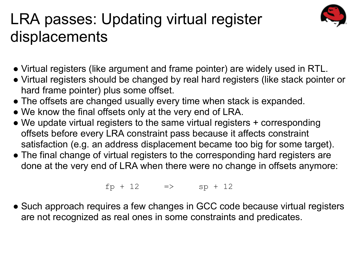#### LRA passes: Updating virtual register displacements

- Virtual registers (like argument and frame pointer) are widely used in RTL.
- Virtual registers should be changed by real hard registers (like stack pointer or hard frame pointer) plus some offset.
- The offsets are changed usually every time when stack is expanded.
- We know the final offsets only at the very end of LRA.
- We update virtual registers to the same virtual registers + corresponding offsets before every LRA constraint pass because it affects constraint satisfaction (e.g. an address displacement became too big for some target).
- The final change of virtual registers to the corresponding hard registers are done at the very end of LRA when there were no change in offsets anymore:

 $fp + 12$   $\implies$   $sp + 12$ 

• Such approach requires a few changes in GCC code because virtual registers are not recognized as real ones in some constraints and predicates.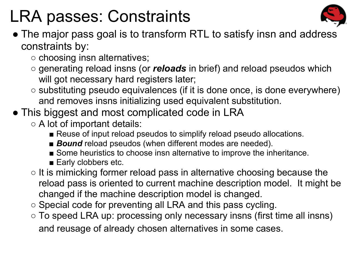#### LRA passes: Constraints



- The major pass goal is to transform RTL to satisfy insn and address constraints by:
	- choosing insn alternatives;
	- generating reload insns (or *reloads* in brief) and reload pseudos which will got necessary hard registers later;
	- substituting pseudo equivalences (if it is done once, is done everywhere) and removes insns initializing used equivalent substitution.
- This biggest and most complicated code in LRA
	- A lot of important details:
		- Reuse of input reload pseudos to simplify reload pseudo allocations.
		- **Bound** reload pseudos (when different modes are needed).
		- Some heuristics to choose insn alternative to improve the inheritance.
		- Early clobbers etc.
	- It is mimicking former reload pass in alternative choosing because the reload pass is oriented to current machine description model. It might be changed if the machine description model is changed.
	- Special code for preventing all LRA and this pass cycling.
	- To speed LRA up: processing only necessary insns (first time all insns) and reusage of already chosen alternatives in some cases.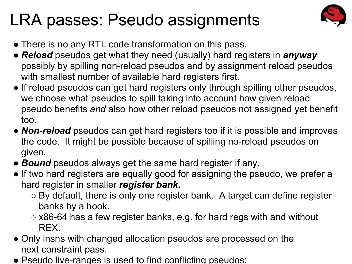#### LRA passes: Pseudo assignments



- There is no any RTL code transformation on this pass.
- *● Reload* pseudos get what they need (usually) hard registers in *anyway* possibly by spilling non-reload pseudos and by assignment reload pseudos with smallest number of available hard registers first.
- If reload pseudos can get hard registers only through spilling other pseudos, we choose what pseudos to spill taking into account how given reload pseudo benefits *and* also how other reload pseudos not assigned yet benefit too.
- *● Non-reload* pseudos can get hard registers too if it is possible and improves the code. It might be possible because of spilling no-reload pseudos on given*.*
- *● Bound* pseudos always get the same hard register if any.
- If two hard registers are equally good for assigning the pseudo, we prefer a hard register in smaller *register bank.*
	- By default, there is only one register bank. A target can define register banks by a hook.
	- $\circ$  x86-64 has a few register banks, e.g. for hard regs with and without REX.
- Only insns with changed allocation pseudos are processed on the next constraint pass.
- Pseudo live-ranges is used to find conflicting pseudos: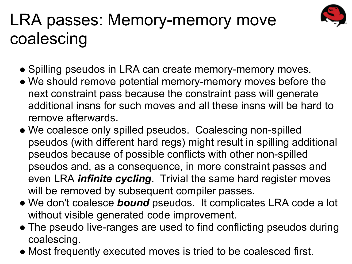#### LRA passes: Memory-memory move coalescing



- Spilling pseudos in LRA can create memory-memory moves.
- We should remove potential memory-memory moves before the next constraint pass because the constraint pass will generate additional insns for such moves and all these insns will be hard to remove afterwards.
- We coalesce only spilled pseudos. Coalescing non-spilled pseudos (with different hard regs) might result in spilling additional pseudos because of possible conflicts with other non-spilled pseudos and, as a consequence, in more constraint passes and even LRA *infinite cycling*. Trivial the same hard register moves will be removed by subsequent compiler passes.
- We don't coalesce *bound* pseudos. It complicates LRA code a lot without visible generated code improvement.
- The pseudo live-ranges are used to find conflicting pseudos during coalescing.
- Most frequently executed moves is tried to be coalesced first.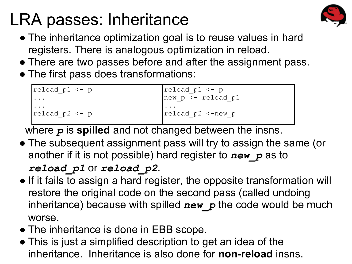## LRA passes: Inheritance



- The inheritance optimization goal is to reuse values in hard registers. There is analogous optimization in reload.
- There are two passes before and after the assignment pass.
- The first pass does transformations:

| $ $ reload p $1 \leq -p$ | $ $ reload p1 <- p                       |
|--------------------------|------------------------------------------|
| .                        | $ new_p \overline{\leftarrow}$ reload p1 |
| .<br>$ $ reload p2 <- p  | .<br>$ $ reload $p2$ <-new $p$           |

where *p* is **spilled** and not changed between the insns.

- The subsequent assignment pass will try to assign the same (or another if it is not possible) hard register to *new\_p* as to *reload\_p1* or *reload\_p2*.
- If it fails to assign a hard register, the opposite transformation will restore the original code on the second pass (called undoing inheritance) because with spilled *new\_p* the code would be much worse.
- The inheritance is done in EBB scope.
- This is just a simplified description to get an idea of the inheritance. Inheritance is also done for **non-reload** insns.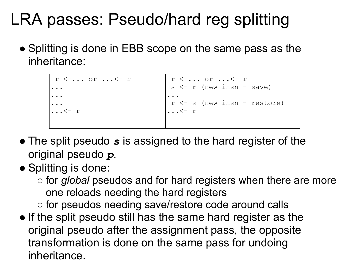#### LRA passes: Pseudo/hard reg splitting

• Splitting is done in EBB scope on the same pass as the inheritance:

```
 r <-... or ...<- r
...
...
... 
\ldots <- r
                                   r <-... or ...<- r
                                   s \leq r (new insn - save)
                                  ...
                                   r \leftarrow s (new insn - restore)
                                  \ldots <- r
```
- The split pseudo *s* is assigned to the hard register of the original pseudo *p*.
- Splitting is done:
	- for *global* pseudos and for hard registers when there are more one reloads needing the hard registers
	- for pseudos needing save/restore code around calls
- If the split pseudo still has the same hard register as the original pseudo after the assignment pass, the opposite transformation is done on the same pass for undoing inheritance.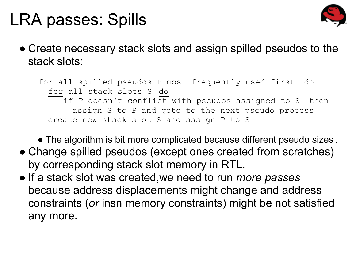#### LRA passes: Spills



• Create necessary stack slots and assign spilled pseudos to the stack slots:

 for all spilled pseudos P most frequently used first do for all stack slots S do  $\overline{\phantom{a}}$  if P doesn't conflict with pseudos assigned to S then assign S to P and goto to the next pseudo process create new stack slot S and assign P to S

• The algorithm is bit more complicated because different pseudo sizes.

- Change spilled pseudos (except ones created from scratches) by corresponding stack slot memory in RTL.
- If a stack slot was created,we need to run *more passes* because address displacements might change and address constraints (*or* insn memory constraints) might be not satisfied any more.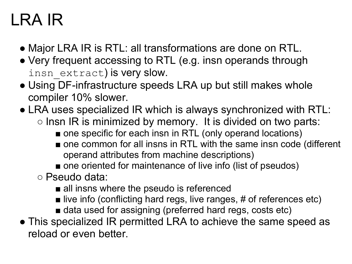#### LRA IR

- Major LRA IR is RTL: all transformations are done on RTL.
- Very frequent accessing to RTL (e.g. insn operands through insn extract) is very slow.
- Using DF-infrastructure speeds LRA up but still makes whole compiler 10% slower.
- LRA uses specialized IR which is always synchronized with RTL:  $\circ$  lnsn IR is minimized by memory. It is divided on two parts:
	- one specific for each insn in RTL (only operand locations)
	- one common for all insns in RTL with the same insn code (different operand attributes from machine descriptions)
	- one oriented for maintenance of live info (list of pseudos)
	- Pseudo data:
		- all insns where the pseudo is referenced
		- live info (conflicting hard regs, live ranges, # of references etc)
		- data used for assigning (preferred hard regs, costs etc)
- This specialized IR permitted LRA to achieve the same speed as reload or even better.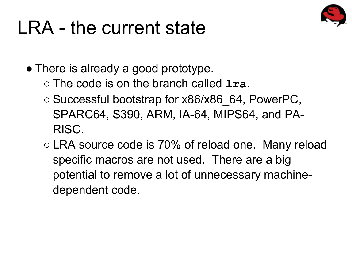# LRA - the current state

• There is already a good prototype.

○ The code is on the branch called **lra**.

- Successful bootstrap for x86/x86 64, PowerPC, SPARC64, S390, ARM, IA-64, MIPS64, and PA-RISC.
- LRA source code is 70% of reload one. Many reload specific macros are not used. There are a big potential to remove a lot of unnecessary machinedependent code.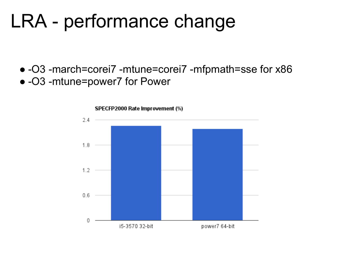# LRA - performance change

● -O3 -march=corei7 -mtune=corei7 -mfpmath=sse for x86 ● -O3 -mtune=power7 for Power

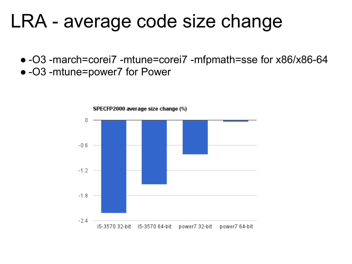## LRA - average code size change

● -O3 -march=corei7 -mtune=corei7 -mfpmath=sse for x86/x86-64 ● -O3 -mtune=power7 for Power

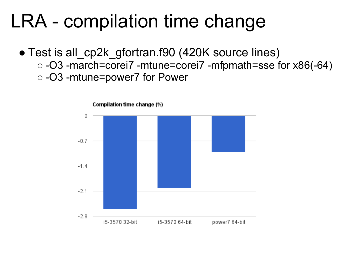## LRA - compilation time change

• Test is all cp2k gfortran.f90 (420K source lines) ○ -O3 -march=corei7 -mtune=corei7 -mfpmath=sse for x86(-64) ○ -O3 -mtune=power7 for Power



Compilation time change (%)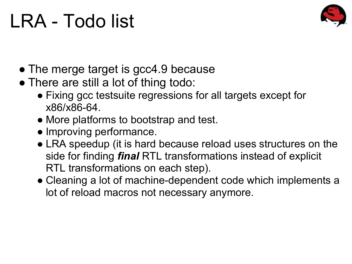# LRA - Todo list



- The merge target is gcc4.9 because
- There are still a lot of thing todo:
	- Fixing gcc testsuite regressions for all targets except for x86/x86-64.
	- More platforms to bootstrap and test.
	- Improving performance.
	- LRA speedup (it is hard because reload uses structures on the side for finding *final* RTL transformations instead of explicit RTL transformations on each step).
	- Cleaning a lot of machine-dependent code which implements a lot of reload macros not necessary anymore.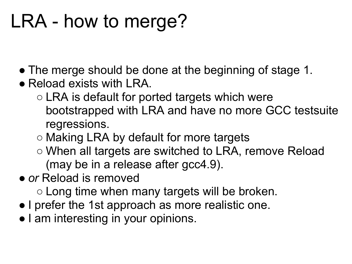# LRA - how to merge?

- The merge should be done at the beginning of stage 1.
- Reload exists with LRA.
	- LRA is default for ported targets which were bootstrapped with LRA and have no more GCC testsuite regressions.
	- Making LRA by default for more targets
	- When all targets are switched to LRA, remove Reload (may be in a release after gcc4.9).
- *● or* Reload is removed
	- Long time when many targets will be broken.
- I prefer the 1st approach as more realistic one.
- I am interesting in your opinions.